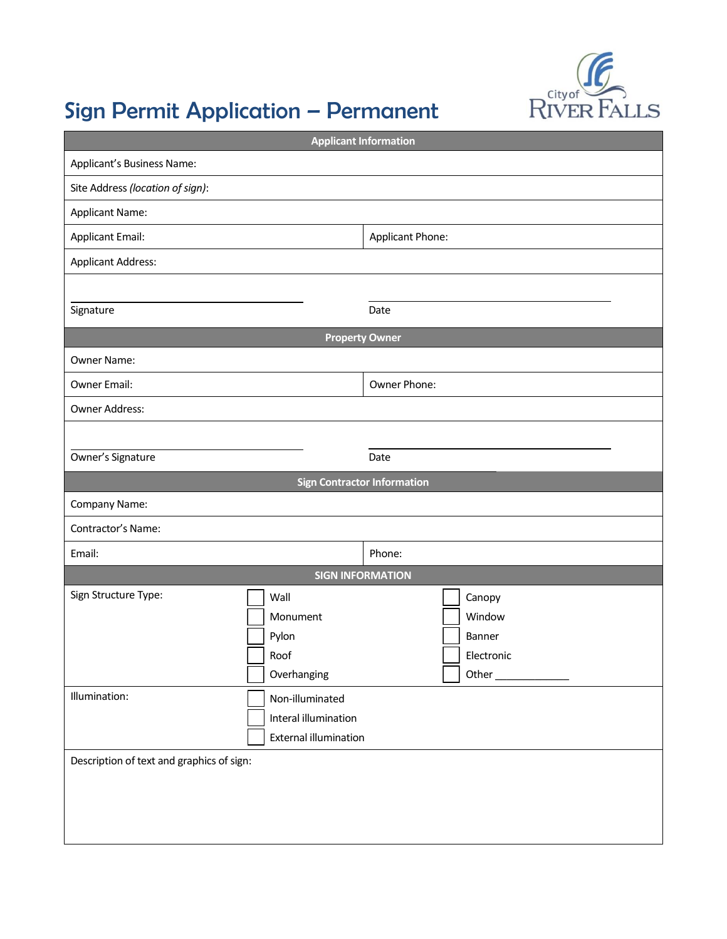

# Sign Permit Application – Permanent

| <b>Applicant Information</b>              |                                    |                  |            |  |  |
|-------------------------------------------|------------------------------------|------------------|------------|--|--|
| Applicant's Business Name:                |                                    |                  |            |  |  |
| Site Address (location of sign):          |                                    |                  |            |  |  |
| <b>Applicant Name:</b>                    |                                    |                  |            |  |  |
| <b>Applicant Email:</b>                   |                                    | Applicant Phone: |            |  |  |
| <b>Applicant Address:</b>                 |                                    |                  |            |  |  |
|                                           |                                    |                  |            |  |  |
| Signature                                 |                                    | Date             |            |  |  |
| <b>Property Owner</b>                     |                                    |                  |            |  |  |
| Owner Name:                               |                                    |                  |            |  |  |
| Owner Email:                              |                                    | Owner Phone:     |            |  |  |
| Owner Address:                            |                                    |                  |            |  |  |
|                                           |                                    |                  |            |  |  |
| Owner's Signature                         |                                    | Date             |            |  |  |
|                                           | <b>Sign Contractor Information</b> |                  |            |  |  |
| Company Name:                             |                                    |                  |            |  |  |
| Contractor's Name:                        |                                    |                  |            |  |  |
| Email:                                    |                                    | Phone:           |            |  |  |
|                                           | <b>SIGN INFORMATION</b>            |                  |            |  |  |
| Sign Structure Type:                      | Wall                               |                  | Canopy     |  |  |
|                                           | Monument                           |                  | Window     |  |  |
|                                           | Pylon                              |                  | Banner     |  |  |
|                                           | Roof                               |                  | Electronic |  |  |
|                                           | Overhanging                        |                  | Other $\_$ |  |  |
| Illumination:                             | Non-illuminated                    |                  |            |  |  |
|                                           | Interal illumination               |                  |            |  |  |
|                                           | <b>External illumination</b>       |                  |            |  |  |
| Description of text and graphics of sign: |                                    |                  |            |  |  |
|                                           |                                    |                  |            |  |  |
|                                           |                                    |                  |            |  |  |
|                                           |                                    |                  |            |  |  |
|                                           |                                    |                  |            |  |  |